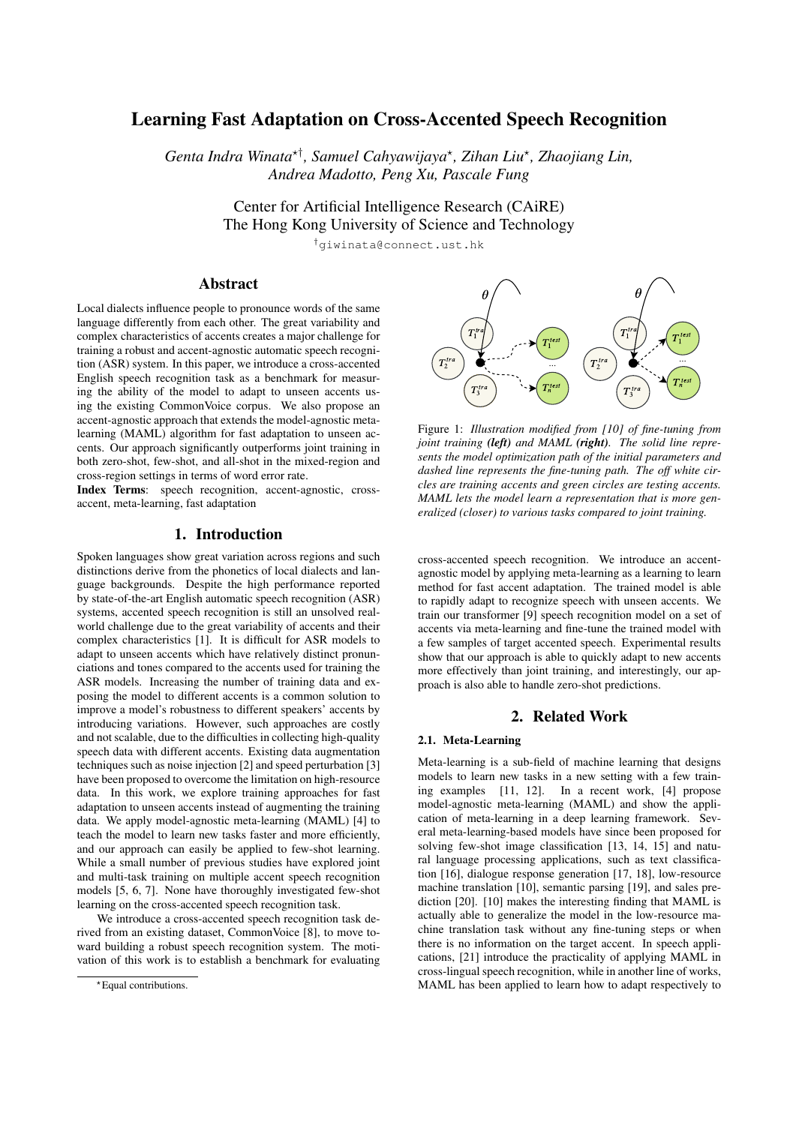# Learning Fast Adaptation on Cross-Accented Speech Recognition

*Genta Indra Winata*?† *, Samuel Cahyawijaya*? *, Zihan Liu*? *, Zhaojiang Lin, Andrea Madotto, Peng Xu, Pascale Fung*

> Center for Artificial Intelligence Research (CAiRE) The Hong Kong University of Science and Technology

> > †giwinata@connect.ust.hk

# Abstract

Local dialects influence people to pronounce words of the same language differently from each other. The great variability and complex characteristics of accents creates a major challenge for training a robust and accent-agnostic automatic speech recognition (ASR) system. In this paper, we introduce a cross-accented English speech recognition task as a benchmark for measuring the ability of the model to adapt to unseen accents using the existing CommonVoice corpus. We also propose an accent-agnostic approach that extends the model-agnostic metalearning (MAML) algorithm for fast adaptation to unseen accents. Our approach significantly outperforms joint training in both zero-shot, few-shot, and all-shot in the mixed-region and cross-region settings in terms of word error rate.

Index Terms: speech recognition, accent-agnostic, crossaccent, meta-learning, fast adaptation

### 1. Introduction

Spoken languages show great variation across regions and such distinctions derive from the phonetics of local dialects and language backgrounds. Despite the high performance reported by state-of-the-art English automatic speech recognition (ASR) systems, accented speech recognition is still an unsolved realworld challenge due to the great variability of accents and their complex characteristics [1]. It is difficult for ASR models to adapt to unseen accents which have relatively distinct pronunciations and tones compared to the accents used for training the ASR models. Increasing the number of training data and exposing the model to different accents is a common solution to improve a model's robustness to different speakers' accents by introducing variations. However, such approaches are costly and not scalable, due to the difficulties in collecting high-quality speech data with different accents. Existing data augmentation techniques such as noise injection [2] and speed perturbation [3] have been proposed to overcome the limitation on high-resource data. In this work, we explore training approaches for fast adaptation to unseen accents instead of augmenting the training data. We apply model-agnostic meta-learning (MAML) [4] to teach the model to learn new tasks faster and more efficiently, and our approach can easily be applied to few-shot learning. While a small number of previous studies have explored joint and multi-task training on multiple accent speech recognition models [5, 6, 7]. None have thoroughly investigated few-shot learning on the cross-accented speech recognition task.

We introduce a cross-accented speech recognition task derived from an existing dataset, CommonVoice [8], to move toward building a robust speech recognition system. The motivation of this work is to establish a benchmark for evaluating



Figure 1: *Illustration modified from [10] of fine-tuning from joint training (left) and MAML (right). The solid line represents the model optimization path of the initial parameters and dashed line represents the fine-tuning path. The off white circles are training accents and green circles are testing accents. MAML lets the model learn a representation that is more generalized (closer) to various tasks compared to joint training.*

cross-accented speech recognition. We introduce an accentagnostic model by applying meta-learning as a learning to learn method for fast accent adaptation. The trained model is able to rapidly adapt to recognize speech with unseen accents. We train our transformer [9] speech recognition model on a set of accents via meta-learning and fine-tune the trained model with a few samples of target accented speech. Experimental results show that our approach is able to quickly adapt to new accents more effectively than joint training, and interestingly, our approach is also able to handle zero-shot predictions.

#### 2. Related Work

#### 2.1. Meta-Learning

Meta-learning is a sub-field of machine learning that designs models to learn new tasks in a new setting with a few training examples [11, 12]. In a recent work, [4] propose model-agnostic meta-learning (MAML) and show the application of meta-learning in a deep learning framework. Several meta-learning-based models have since been proposed for solving few-shot image classification [13, 14, 15] and natural language processing applications, such as text classification [16], dialogue response generation [17, 18], low-resource machine translation [10], semantic parsing [19], and sales prediction [20]. [10] makes the interesting finding that MAML is actually able to generalize the model in the low-resource machine translation task without any fine-tuning steps or when there is no information on the target accent. In speech applications, [21] introduce the practicality of applying MAML in cross-lingual speech recognition, while in another line of works, MAML has been applied to learn how to adapt respectively to

<sup>\*</sup>Equal contributions.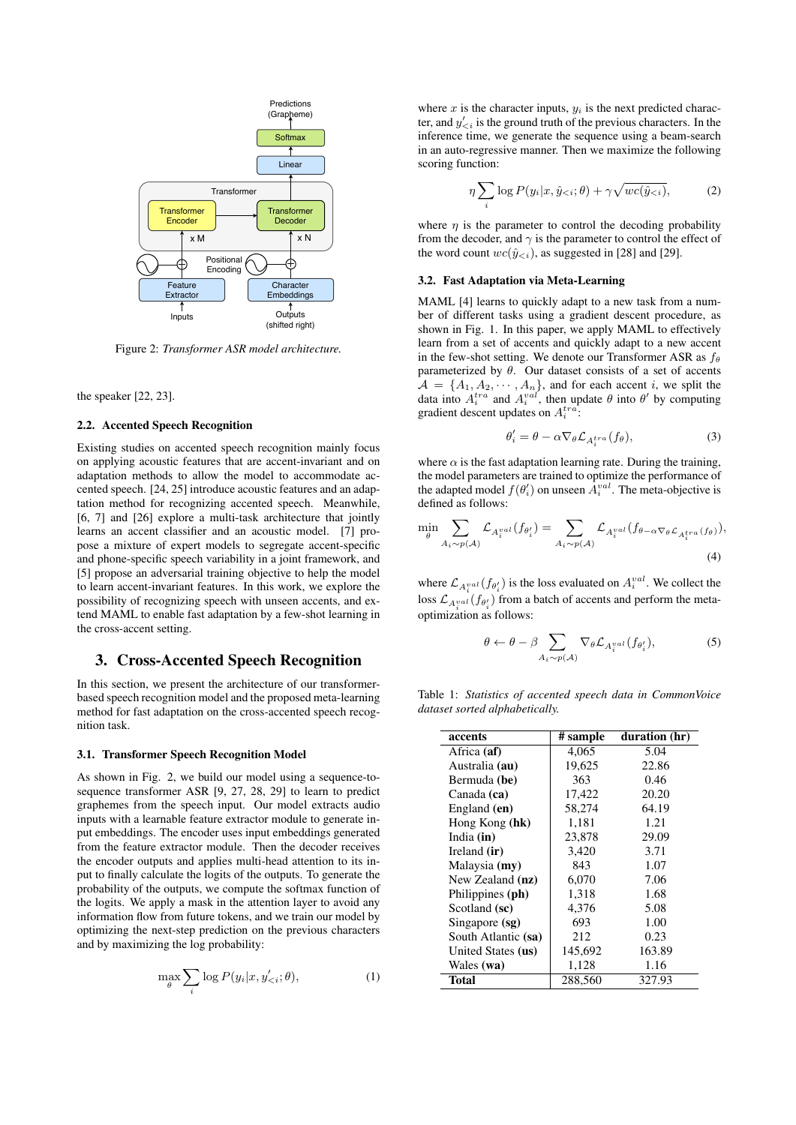

Figure 2: *Transformer ASR model architecture.*

the speaker [22, 23].

#### 2.2. Accented Speech Recognition

Existing studies on accented speech recognition mainly focus on applying acoustic features that are accent-invariant and on adaptation methods to allow the model to accommodate accented speech. [24, 25] introduce acoustic features and an adaptation method for recognizing accented speech. Meanwhile, [6, 7] and [26] explore a multi-task architecture that jointly learns an accent classifier and an acoustic model. [7] propose a mixture of expert models to segregate accent-specific and phone-specific speech variability in a joint framework, and [5] propose an adversarial training objective to help the model to learn accent-invariant features. In this work, we explore the possibility of recognizing speech with unseen accents, and extend MAML to enable fast adaptation by a few-shot learning in the cross-accent setting.

### 3. Cross-Accented Speech Recognition

In this section, we present the architecture of our transformerbased speech recognition model and the proposed meta-learning method for fast adaptation on the cross-accented speech recognition task.

#### 3.1. Transformer Speech Recognition Model

As shown in Fig. 2, we build our model using a sequence-tosequence transformer ASR [9, 27, 28, 29] to learn to predict graphemes from the speech input. Our model extracts audio inputs with a learnable feature extractor module to generate input embeddings. The encoder uses input embeddings generated from the feature extractor module. Then the decoder receives the encoder outputs and applies multi-head attention to its input to finally calculate the logits of the outputs. To generate the probability of the outputs, we compute the softmax function of the logits. We apply a mask in the attention layer to avoid any information flow from future tokens, and we train our model by optimizing the next-step prediction on the previous characters and by maximizing the log probability:

$$
\max_{\theta} \sum_{i} \log P(y_i | x, y'_{< i}; \theta), \tag{1}
$$

where x is the character inputs,  $y_i$  is the next predicted character, and  $y'_{\leq i}$  is the ground truth of the previous characters. In the inference time, we generate the sequence using a beam-search in an auto-regressive manner. Then we maximize the following scoring function:

$$
\eta \sum_{i} \log P(y_i | x, \hat{y}_{< i}; \theta) + \gamma \sqrt{wc(\hat{y}_{< i})},\tag{2}
$$

where  $\eta$  is the parameter to control the decoding probability from the decoder, and  $\gamma$  is the parameter to control the effect of the word count  $wc(\hat{y}_{\leq i})$ , as suggested in [28] and [29].

#### 3.2. Fast Adaptation via Meta-Learning

MAML [4] learns to quickly adapt to a new task from a number of different tasks using a gradient descent procedure, as shown in Fig. 1. In this paper, we apply MAML to effectively learn from a set of accents and quickly adapt to a new accent in the few-shot setting. We denote our Transformer ASR as  $f_\theta$ parameterized by  $\theta$ . Our dataset consists of a set of accents  $A = \{A_1, A_2, \dots, A_n\}$ , and for each accent *i*, we split the data into  $A_i^{tra}$  and  $A_i^{val}$ , then update  $\theta$  into  $\theta'$  by computing gradient descent updates on  $A_i^{tra}$ :

$$
\theta_i' = \theta - \alpha \nabla_{\theta} \mathcal{L}_{A_i^{tra}}(f_{\theta}), \tag{3}
$$

where  $\alpha$  is the fast adaptation learning rate. During the training, the model parameters are trained to optimize the performance of the adapted model  $f(\theta_i)$  on unseen  $A_i^{val}$ . The meta-objective is defined as follows:

$$
\min_{\theta} \sum_{A_i \sim p(A)} \mathcal{L}_{A_i^{val}}(f_{\theta_i'}) = \sum_{A_i \sim p(A)} \mathcal{L}_{A_i^{val}}(f_{\theta - \alpha \nabla_{\theta} \mathcal{L}_{A_i^{tra}}(f_{\theta})}),
$$
\n(4)

where  $\mathcal{L}_{A_i^{val}}(f_{\theta'_i})$  is the loss evaluated on  $A_i^{val}$ . We collect the loss  $\mathcal{L}_{A_i^{val}}(f_{\theta_i'})$  from a batch of accents and perform the metaoptimization as follows:

$$
\theta \leftarrow \theta - \beta \sum_{A_i \sim p(\mathcal{A})} \nabla_{\theta} \mathcal{L}_{A_i^{val}}(f_{\theta_i}),
$$
 (5)

Table 1: *Statistics of accented speech data in CommonVoice dataset sorted alphabetically.*

| accents             | # sample | duration (hr) |
|---------------------|----------|---------------|
| Africa (af)         | 4,065    | 5.04          |
| Australia (au)      | 19,625   | 22.86         |
| Bermuda (be)        | 363      | 0.46          |
| Canada (ca)         | 17,422   | 20.20         |
| England (en)        | 58.274   | 64.19         |
| Hong Kong (hk)      | 1,181    | 1.21          |
| India $(in)$        | 23,878   | 29.09         |
| Ireland (ir)        | 3,420    | 3.71          |
| Malaysia (my)       | 843      | 1.07          |
| New Zealand (nz)    | 6,070    | 7.06          |
| Philippines (ph)    | 1,318    | 1.68          |
| Scotland (sc)       | 4,376    | 5.08          |
| Singapore (sg)      | 693      | 1.00          |
| South Atlantic (sa) | 212      | 0.23          |
| United States (us)  | 145,692  | 163.89        |
| Wales (wa)          | 1,128    | 1.16          |
| Total               | 288,560  | 327.93        |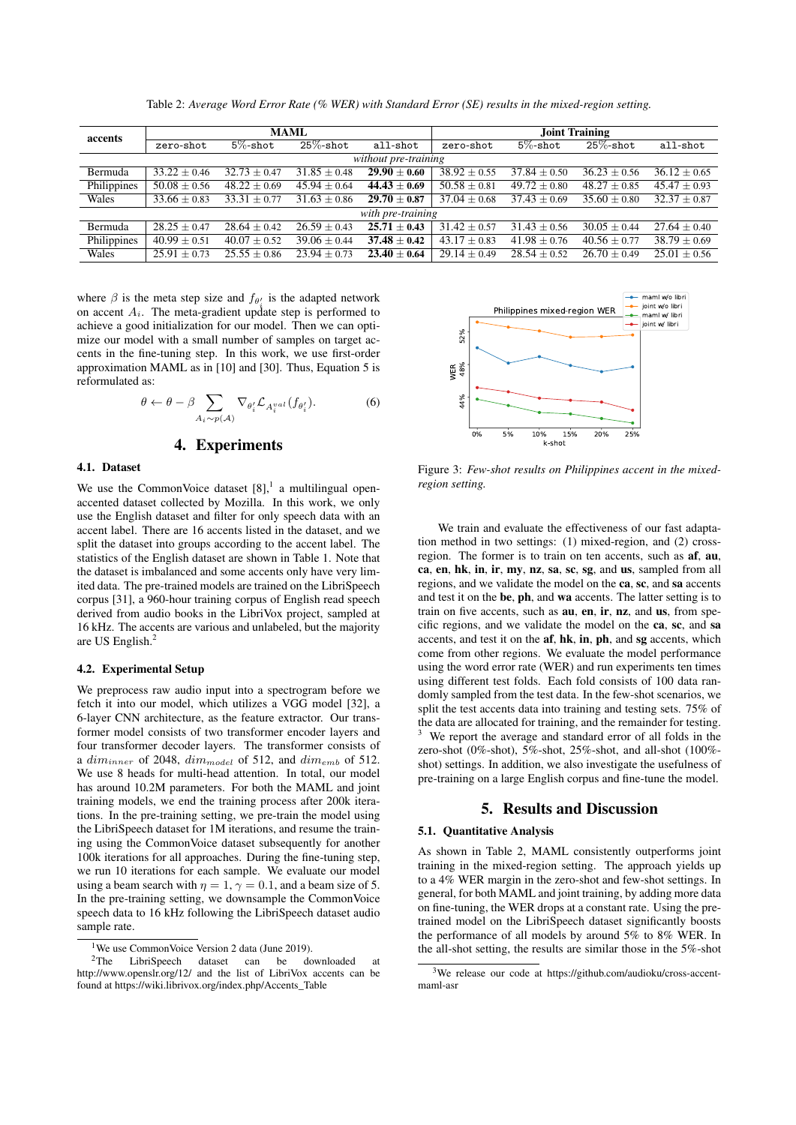| accents              | <b>MAML</b>      |                  |                  |                  | Joint Training   |                  |                  |                  |
|----------------------|------------------|------------------|------------------|------------------|------------------|------------------|------------------|------------------|
|                      | zero-shot        | $5\%$ -shot      | $25\%$ -shot     | all-shot         | zero-shot        | $5\%$ -shot      | $25\%$ -shot     | all-shot         |
| without pre-training |                  |                  |                  |                  |                  |                  |                  |                  |
| Bermuda              | $33.22 \pm 0.46$ | $32.73 \pm 0.47$ | $31.85 \pm 0.48$ | $29.90 \pm 0.60$ | $38.92 \pm 0.55$ | $37.84 \pm 0.50$ | $36.23 \pm 0.56$ | $36.12 \pm 0.65$ |
| Philippines          | $50.08 \pm 0.56$ | $48.22 \pm 0.69$ | $45.94 \pm 0.64$ | $44.43 \pm 0.69$ | $50.58 \pm 0.81$ | $49.72 + 0.80$   | $48.27 \pm 0.85$ | $45.47 + 0.93$   |
| Wales                | $33.66 \pm 0.83$ | $33.31 \pm 0.77$ | $31.63 + 0.86$   | $29.70 \pm 0.87$ | $37.04 + 0.68$   | $37.43 + 0.69$   | $35.60 + 0.80$   | $32.37 + 0.87$   |
| with pre-training    |                  |                  |                  |                  |                  |                  |                  |                  |
| Bermuda              | $28.25 \pm 0.47$ | $28.64 \pm 0.42$ | $26.59 \pm 0.43$ | $25.71 \pm 0.43$ | $31.42 \pm 0.57$ | $31.43 + 0.56$   | $30.05 \pm 0.44$ | $27.64 \pm 0.40$ |
| Philippines          | $40.99 \pm 0.51$ | $40.07 \pm 0.52$ | $39.06 \pm 0.44$ | $37.48 \pm 0.42$ | $43.17 \pm 0.83$ | $41.98 \pm 0.76$ | $40.56 \pm 0.77$ | $38.79 \pm 0.69$ |
| Wales                | $25.91 \pm 0.73$ | $25.55 + 0.86$   | $23.94 \pm 0.73$ | $23.40 + 0.64$   | $29.14 + 0.49$   | $28.54 \pm 0.52$ | $26.70 + 0.49$   | $25.01 + 0.56$   |

Table 2: *Average Word Error Rate (% WER) with Standard Error (SE) results in the mixed-region setting.*

where  $\beta$  is the meta step size and  $f_{\theta_i}$  is the adapted network on accent  $A_i$ . The meta-gradient update step is performed to achieve a good initialization for our model. Then we can optimize our model with a small number of samples on target accents in the fine-tuning step. In this work, we use first-order approximation MAML as in [10] and [30]. Thus, Equation 5 is reformulated as:

$$
\theta \leftarrow \theta - \beta \sum_{A_i \sim p(\mathcal{A})} \nabla_{\theta'_i} \mathcal{L}_{A_i^{val}}(f_{\theta'_i}).
$$
 (6)

4. Experiments

#### 4.1. Dataset

We use the CommonVoice dataset  $[8]$ ,<sup>1</sup> a multilingual openaccented dataset collected by Mozilla. In this work, we only use the English dataset and filter for only speech data with an accent label. There are 16 accents listed in the dataset, and we split the dataset into groups according to the accent label. The statistics of the English dataset are shown in Table 1. Note that the dataset is imbalanced and some accents only have very limited data. The pre-trained models are trained on the LibriSpeech corpus [31], a 960-hour training corpus of English read speech derived from audio books in the LibriVox project, sampled at 16 kHz. The accents are various and unlabeled, but the majority are US English.<sup>2</sup>

#### 4.2. Experimental Setup

We preprocess raw audio input into a spectrogram before we fetch it into our model, which utilizes a VGG model [32], a 6-layer CNN architecture, as the feature extractor. Our transformer model consists of two transformer encoder layers and four transformer decoder layers. The transformer consists of a  $dim_{inner}$  of 2048,  $dim_{model}$  of 512, and  $dim_{emb}$  of 512. We use 8 heads for multi-head attention. In total, our model has around 10.2M parameters. For both the MAML and joint training models, we end the training process after 200k iterations. In the pre-training setting, we pre-train the model using the LibriSpeech dataset for 1M iterations, and resume the training using the CommonVoice dataset subsequently for another 100k iterations for all approaches. During the fine-tuning step, we run 10 iterations for each sample. We evaluate our model using a beam search with  $\eta = 1$ ,  $\gamma = 0.1$ , and a beam size of 5. In the pre-training setting, we downsample the CommonVoice speech data to 16 kHz following the LibriSpeech dataset audio sample rate.



Figure 3: *Few-shot results on Philippines accent in the mixedregion setting.*

We train and evaluate the effectiveness of our fast adaptation method in two settings: (1) mixed-region, and (2) crossregion. The former is to train on ten accents, such as af, au, ca, en, hk, in, ir, my, nz, sa, sc, sg, and us, sampled from all regions, and we validate the model on the ca, sc, and sa accents and test it on the be, ph, and wa accents. The latter setting is to train on five accents, such as au, en, ir, nz, and us, from specific regions, and we validate the model on the ca, sc, and sa accents, and test it on the af, hk, in, ph, and sg accents, which come from other regions. We evaluate the model performance using the word error rate (WER) and run experiments ten times using different test folds. Each fold consists of 100 data randomly sampled from the test data. In the few-shot scenarios, we split the test accents data into training and testing sets. 75% of the data are allocated for training, and the remainder for testing. We report the average and standard error of all folds in the zero-shot (0%-shot), 5%-shot, 25%-shot, and all-shot (100% shot) settings. In addition, we also investigate the usefulness of pre-training on a large English corpus and fine-tune the model.

#### 5. Results and Discussion

### 5.1. Quantitative Analysis

As shown in Table 2, MAML consistently outperforms joint training in the mixed-region setting. The approach yields up to a 4% WER margin in the zero-shot and few-shot settings. In general, for both MAML and joint training, by adding more data on fine-tuning, the WER drops at a constant rate. Using the pretrained model on the LibriSpeech dataset significantly boosts the performance of all models by around 5% to 8% WER. In the all-shot setting, the results are similar those in the 5%-shot

<sup>&</sup>lt;sup>1</sup>We use CommonVoice Version 2 data (June 2019).

<sup>2</sup>The LibriSpeech dataset can be downloaded at http://www.openslr.org/12/ and the list of LibriVox accents can be found at https://wiki.librivox.org/index.php/Accents\_Table

<sup>3</sup>We release our code at https://github.com/audioku/cross-accentmaml-asr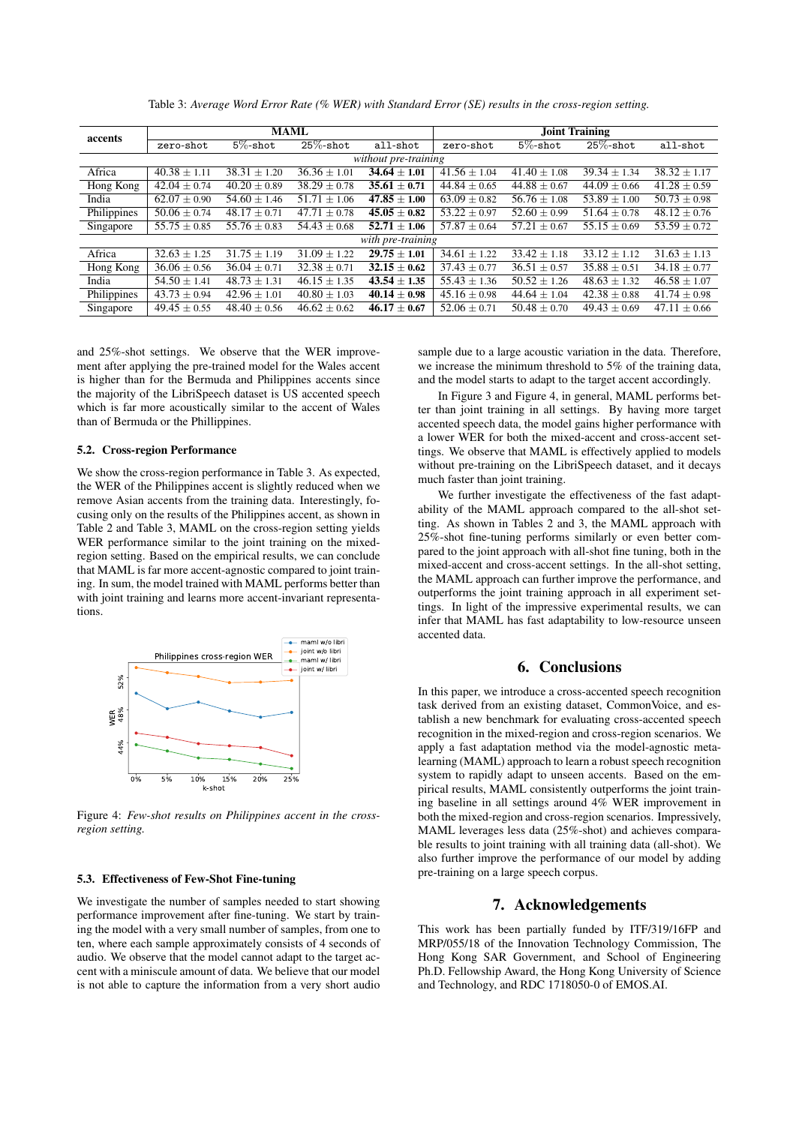| accents              | <b>MAML</b>      |                  |                  |                             | Joint Training   |                  |                  |                  |
|----------------------|------------------|------------------|------------------|-----------------------------|------------------|------------------|------------------|------------------|
|                      | zero-shot        | $5\%$ -shot      | $25\%$ -shot     | all-shot                    | zero-shot        | $5\%$ -shot      | $25\%$ -shot     | all-shot         |
| without pre-training |                  |                  |                  |                             |                  |                  |                  |                  |
| Africa               | $40.38 \pm 1.11$ | $38.31 + 1.20$   | $36.36 \pm 1.01$ | $34.64 \pm 1.01$            | $41.56 \pm 1.04$ | $41.40 + 1.08$   | $39.34 \pm 1.34$ | $38.32 \pm 1.17$ |
| Hong Kong            | $42.04 \pm 0.74$ | $40.20 \pm 0.89$ | $38.29 \pm 0.78$ | $35.61 \pm 0.71$            | $44.84 \pm 0.65$ | $44.88 \pm 0.67$ | $44.09 \pm 0.66$ | $41.28 \pm 0.59$ |
| India                | $62.07 \pm 0.90$ | $54.60 \pm 1.46$ | $51.71 \pm 1.06$ | $\overline{47.85} \pm 1.00$ | $63.09 \pm 0.82$ | $56.76 \pm 1.08$ | $53.89 \pm 1.00$ | $50.73 + 0.98$   |
| Philippines          | $50.06 \pm 0.74$ | $48.17 \pm 0.71$ | $47.71 \pm 0.78$ | $45.05 \pm 0.82$            | $53.22 \pm 0.97$ | $52.60 \pm 0.99$ | $51.64 \pm 0.78$ | $48.12 \pm 0.76$ |
| Singapore            | $55.75 \pm 0.85$ | $55.76 \pm 0.83$ | $54.43 \pm 0.68$ | $\overline{52.71} \pm 1.06$ | $57.87 \pm 0.64$ | $57.21 \pm 0.67$ | $55.15 \pm 0.69$ | $53.59 \pm 0.72$ |
| with pre-training    |                  |                  |                  |                             |                  |                  |                  |                  |
| Africa               | $32.63 \pm 1.25$ | $31.75 \pm 1.19$ | $31.09 \pm 1.22$ | $29.75 \pm 1.01$            | $34.61 \pm 1.22$ | $33.42 + 1.18$   | $33.12 + 1.12$   | $31.63 \pm 1.13$ |
| Hong Kong            | $36.06 \pm 0.56$ | $36.04 \pm 0.71$ | $32.38 \pm 0.71$ | $32.15 \pm 0.62$            | $37.43 \pm 0.77$ | $36.51 \pm 0.57$ | $35.88 \pm 0.51$ | $34.18 + 0.77$   |
| India                | $54.50 \pm 1.41$ | $48.73 \pm 1.31$ | $46.15 \pm 1.35$ | $43.54 \pm 1.35$            | $55.43 \pm 1.36$ | $50.52 \pm 1.26$ | $48.63 \pm 1.32$ | $46.58 \pm 1.07$ |
| Philippines          | $43.73 \pm 0.94$ | $42.96 \pm 1.01$ | $40.80 \pm 1.03$ | $40.14 \pm 0.98$            | $45.16 \pm 0.98$ | $44.64 \pm 1.04$ | $42.38 \pm 0.88$ | $41.74 + 0.98$   |
| Singapore            | $49.45 \pm 0.55$ | $48.40 \pm 0.56$ | $46.62 \pm 0.62$ | $46.17 \pm 0.67$            | $52.06 \pm 0.71$ | $50.48 \pm 0.70$ | $49.43 \pm 0.69$ | $47.11 + 0.66$   |

Table 3: *Average Word Error Rate (% WER) with Standard Error (SE) results in the cross-region setting.*

and 25%-shot settings. We observe that the WER improvement after applying the pre-trained model for the Wales accent is higher than for the Bermuda and Philippines accents since the majority of the LibriSpeech dataset is US accented speech which is far more acoustically similar to the accent of Wales than of Bermuda or the Phillippines.

#### 5.2. Cross-region Performance

We show the cross-region performance in Table 3. As expected, the WER of the Philippines accent is slightly reduced when we remove Asian accents from the training data. Interestingly, focusing only on the results of the Philippines accent, as shown in Table 2 and Table 3, MAML on the cross-region setting yields WER performance similar to the joint training on the mixedregion setting. Based on the empirical results, we can conclude that MAML is far more accent-agnostic compared to joint training. In sum, the model trained with MAML performs better than with joint training and learns more accent-invariant representations.



Figure 4: *Few-shot results on Philippines accent in the crossregion setting.*

#### 5.3. Effectiveness of Few-Shot Fine-tuning

We investigate the number of samples needed to start showing performance improvement after fine-tuning. We start by training the model with a very small number of samples, from one to ten, where each sample approximately consists of 4 seconds of audio. We observe that the model cannot adapt to the target accent with a miniscule amount of data. We believe that our model is not able to capture the information from a very short audio

sample due to a large acoustic variation in the data. Therefore, we increase the minimum threshold to 5% of the training data, and the model starts to adapt to the target accent accordingly.

In Figure 3 and Figure 4, in general, MAML performs better than joint training in all settings. By having more target accented speech data, the model gains higher performance with a lower WER for both the mixed-accent and cross-accent settings. We observe that MAML is effectively applied to models without pre-training on the LibriSpeech dataset, and it decays much faster than joint training.

We further investigate the effectiveness of the fast adaptability of the MAML approach compared to the all-shot setting. As shown in Tables 2 and 3, the MAML approach with 25%-shot fine-tuning performs similarly or even better compared to the joint approach with all-shot fine tuning, both in the mixed-accent and cross-accent settings. In the all-shot setting, the MAML approach can further improve the performance, and outperforms the joint training approach in all experiment settings. In light of the impressive experimental results, we can infer that MAML has fast adaptability to low-resource unseen accented data.

# 6. Conclusions

In this paper, we introduce a cross-accented speech recognition task derived from an existing dataset, CommonVoice, and establish a new benchmark for evaluating cross-accented speech recognition in the mixed-region and cross-region scenarios. We apply a fast adaptation method via the model-agnostic metalearning (MAML) approach to learn a robust speech recognition system to rapidly adapt to unseen accents. Based on the empirical results, MAML consistently outperforms the joint training baseline in all settings around 4% WER improvement in both the mixed-region and cross-region scenarios. Impressively, MAML leverages less data (25%-shot) and achieves comparable results to joint training with all training data (all-shot). We also further improve the performance of our model by adding pre-training on a large speech corpus.

# 7. Acknowledgements

This work has been partially funded by ITF/319/16FP and MRP/055/18 of the Innovation Technology Commission, The Hong Kong SAR Government, and School of Engineering Ph.D. Fellowship Award, the Hong Kong University of Science and Technology, and RDC 1718050-0 of EMOS.AI.